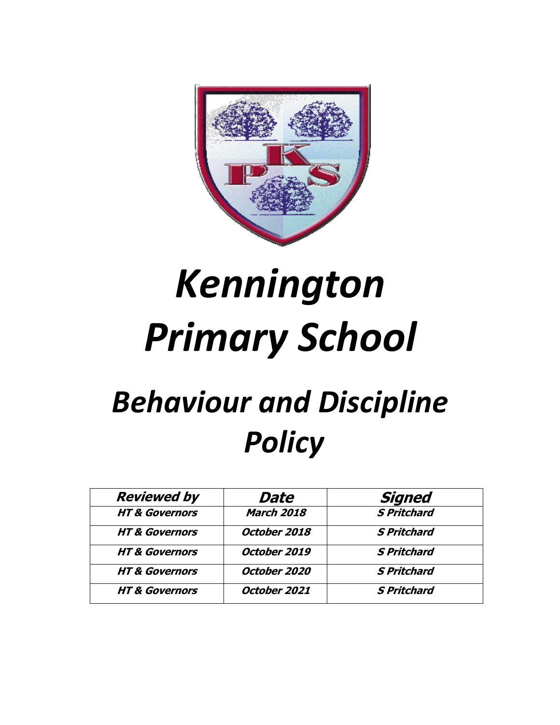

# *Kennington Primary School*

# *Behaviour and Discipline Policy*

| <b>Reviewed by</b>        | Date              | <b>Signed</b>      |
|---------------------------|-------------------|--------------------|
| <b>HT &amp; Governors</b> | <b>March 2018</b> | <b>S Pritchard</b> |
| <b>HT &amp; Governors</b> | October 2018      | <b>S Pritchard</b> |
| <b>HT &amp; Governors</b> | October 2019      | <b>S Pritchard</b> |
| <b>HT &amp; Governors</b> | October 2020      | <b>S Pritchard</b> |
| <b>HT &amp; Governors</b> | October 2021      | <b>S Pritchard</b> |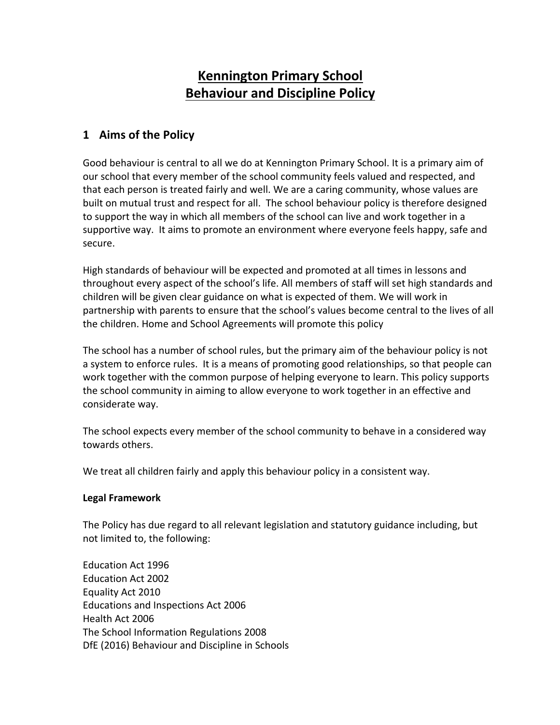### **Kennington Primary School Behaviour and Discipline Policy**

#### **1 Aims of the Policy**

Good behaviour is central to all we do at Kennington Primary School. It is a primary aim of our school that every member of the school community feels valued and respected, and that each person is treated fairly and well. We are a caring community, whose values are built on mutual trust and respect for all. The school behaviour policy is therefore designed to support the way in which all members of the school can live and work together in a supportive way. It aims to promote an environment where everyone feels happy, safe and secure.

High standards of behaviour will be expected and promoted at all times in lessons and throughout every aspect of the school's life. All members of staff will set high standards and children will be given clear guidance on what is expected of them. We will work in partnership with parents to ensure that the school's values become central to the lives of all the children. Home and School Agreements will promote this policy

The school has a number of school rules, but the primary aim of the behaviour policy is not a system to enforce rules. It is a means of promoting good relationships, so that people can work together with the common purpose of helping everyone to learn. This policy supports the school community in aiming to allow everyone to work together in an effective and considerate way.

The school expects every member of the school community to behave in a considered way towards others.

We treat all children fairly and apply this behaviour policy in a consistent way.

#### **Legal Framework**

The Policy has due regard to all relevant legislation and statutory guidance including, but not limited to, the following:

Education Act 1996 Education Act 2002 Equality Act 2010 Educations and Inspections Act 2006 Health Act 2006 The School Information Regulations 2008 DfE (2016) Behaviour and Discipline in Schools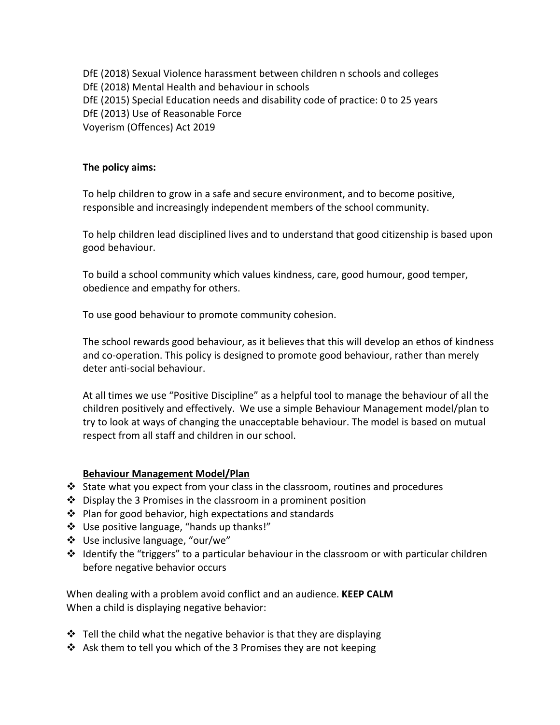DfE (2018) Sexual Violence harassment between children n schools and colleges DfE (2018) Mental Health and behaviour in schools DfE (2015) Special Education needs and disability code of practice: 0 to 25 years DfE (2013) Use of Reasonable Force Voyerism (Offences) Act 2019

#### **The policy aims:**

To help children to grow in a safe and secure environment, and to become positive, responsible and increasingly independent members of the school community.

To help children lead disciplined lives and to understand that good citizenship is based upon good behaviour.

To build a school community which values kindness, care, good humour, good temper, obedience and empathy for others.

To use good behaviour to promote community cohesion.

The school rewards good behaviour, as it believes that this will develop an ethos of kindness and co-operation. This policy is designed to promote good behaviour, rather than merely deter anti-social behaviour.

At all times we use "Positive Discipline" as a helpful tool to manage the behaviour of all the children positively and effectively. We use a simple Behaviour Management model/plan to try to look at ways of changing the unacceptable behaviour. The model is based on mutual respect from all staff and children in our school.

#### **Behaviour Management Model/Plan**

- $\div$  State what you expect from your class in the classroom, routines and procedures
- $\cdot$  Display the 3 Promises in the classroom in a prominent position
- $\cdot$  Plan for good behavior, high expectations and standards
- v Use positive language, "hands up thanks!"
- v Use inclusive language, "our/we"
- $\cdot$  Identify the "triggers" to a particular behaviour in the classroom or with particular children before negative behavior occurs

When dealing with a problem avoid conflict and an audience. **KEEP CALM** When a child is displaying negative behavior:

- $\cdot$  Tell the child what the negative behavior is that they are displaying
- Ask them to tell you which of the 3 Promises they are not keeping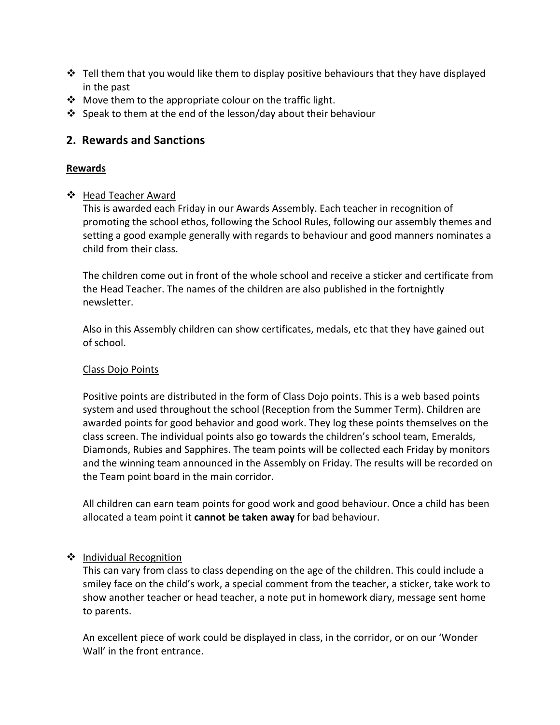- $\cdot$  Tell them that you would like them to display positive behaviours that they have displayed in the past
- $\cdot$  Move them to the appropriate colour on the traffic light.
- $\cdot$  Speak to them at the end of the lesson/day about their behaviour

#### **2. Rewards and Sanctions**

#### **Rewards**

❖ Head Teacher Award

This is awarded each Friday in our Awards Assembly. Each teacher in recognition of promoting the school ethos, following the School Rules, following our assembly themes and setting a good example generally with regards to behaviour and good manners nominates a child from their class.

The children come out in front of the whole school and receive a sticker and certificate from the Head Teacher. The names of the children are also published in the fortnightly newsletter.

Also in this Assembly children can show certificates, medals, etc that they have gained out of school.

#### Class Dojo Points

Positive points are distributed in the form of Class Dojo points. This is a web based points system and used throughout the school (Reception from the Summer Term). Children are awarded points for good behavior and good work. They log these points themselves on the class screen. The individual points also go towards the children's school team, Emeralds, Diamonds, Rubies and Sapphires. The team points will be collected each Friday by monitors and the winning team announced in the Assembly on Friday. The results will be recorded on the Team point board in the main corridor.

All children can earn team points for good work and good behaviour. Once a child has been allocated a team point it **cannot be taken away** for bad behaviour.

#### ❖ Individual Recognition

This can vary from class to class depending on the age of the children. This could include a smiley face on the child's work, a special comment from the teacher, a sticker, take work to show another teacher or head teacher, a note put in homework diary, message sent home to parents.

An excellent piece of work could be displayed in class, in the corridor, or on our 'Wonder Wall' in the front entrance.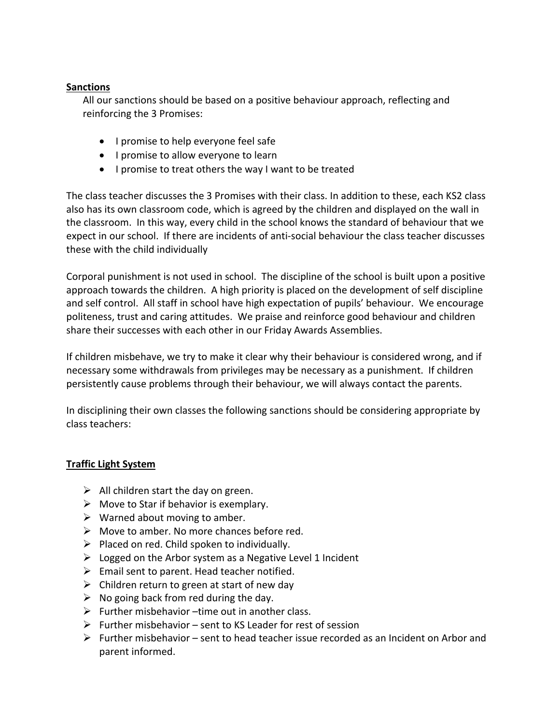#### **Sanctions**

All our sanctions should be based on a positive behaviour approach, reflecting and reinforcing the 3 Promises:

- I promise to help everyone feel safe
- I promise to allow everyone to learn
- I promise to treat others the way I want to be treated

The class teacher discusses the 3 Promises with their class. In addition to these, each KS2 class also has its own classroom code, which is agreed by the children and displayed on the wall in the classroom. In this way, every child in the school knows the standard of behaviour that we expect in our school. If there are incidents of anti-social behaviour the class teacher discusses these with the child individually

Corporal punishment is not used in school. The discipline of the school is built upon a positive approach towards the children. A high priority is placed on the development of self discipline and self control. All staff in school have high expectation of pupils' behaviour. We encourage politeness, trust and caring attitudes. We praise and reinforce good behaviour and children share their successes with each other in our Friday Awards Assemblies.

If children misbehave, we try to make it clear why their behaviour is considered wrong, and if necessary some withdrawals from privileges may be necessary as a punishment. If children persistently cause problems through their behaviour, we will always contact the parents.

In disciplining their own classes the following sanctions should be considering appropriate by class teachers:

#### **Traffic Light System**

- $\triangleright$  All children start the day on green.
- $\triangleright$  Move to Star if behavior is exemplary.
- $\triangleright$  Warned about moving to amber.
- $\triangleright$  Move to amber. No more chances before red.
- $\triangleright$  Placed on red. Child spoken to individually.
- $\triangleright$  Logged on the Arbor system as a Negative Level 1 Incident
- $\triangleright$  Email sent to parent. Head teacher notified.
- $\triangleright$  Children return to green at start of new day
- $\triangleright$  No going back from red during the day.
- $\triangleright$  Further misbehavior –time out in another class.
- $\triangleright$  Further misbehavior sent to KS Leader for rest of session
- $\triangleright$  Further misbehavior sent to head teacher issue recorded as an Incident on Arbor and parent informed.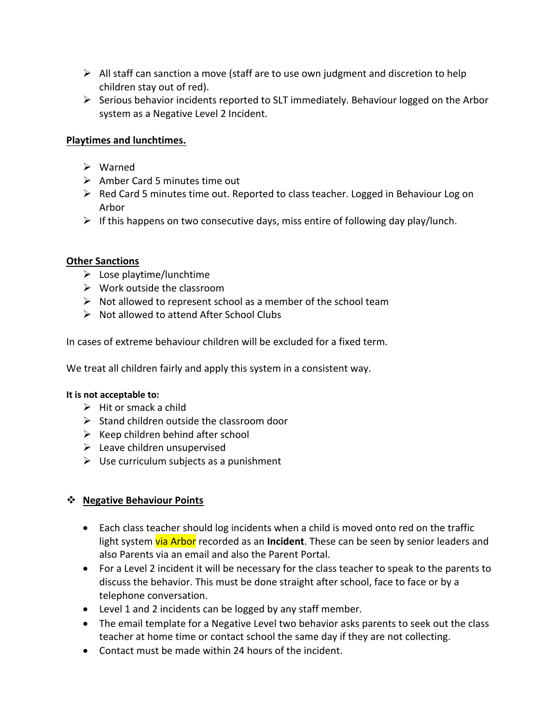- $\triangleright$  All staff can sanction a move (staff are to use own judgment and discretion to help children stay out of red).
- $\triangleright$  Serious behavior incidents reported to SLT immediately. Behaviour logged on the Arbor system as a Negative Level 2 Incident.

#### **Playtimes and lunchtimes.**

- $\triangleright$  Warned
- $\triangleright$  Amber Card 5 minutes time out
- Ø Red Card 5 minutes time out. Reported to class teacher. Logged in Behaviour Log on Arbor
- $\triangleright$  If this happens on two consecutive days, miss entire of following day play/lunch.

#### **Other Sanctions**

- $\triangleright$  Lose playtime/lunchtime
- $\triangleright$  Work outside the classroom
- $\triangleright$  Not allowed to represent school as a member of the school team
- $\triangleright$  Not allowed to attend After School Clubs

In cases of extreme behaviour children will be excluded for a fixed term.

We treat all children fairly and apply this system in a consistent way.

#### **It is not acceptable to:**

- $\triangleright$  Hit or smack a child
- $\triangleright$  Stand children outside the classroom door
- $\triangleright$  Keep children behind after school
- $\blacktriangleright$  Leave children unsupervised
- $\triangleright$  Use curriculum subjects as a punishment

#### v **Negative Behaviour Points**

- Each class teacher should log incidents when a child is moved onto red on the traffic light system via Arbor recorded as an **Incident**. These can be seen by senior leaders and also Parents via an email and also the Parent Portal.
- For a Level 2 incident it will be necessary for the class teacher to speak to the parents to discuss the behavior. This must be done straight after school, face to face or by a telephone conversation.
- Level 1 and 2 incidents can be logged by any staff member.
- The email template for a Negative Level two behavior asks parents to seek out the class teacher at home time or contact school the same day if they are not collecting.
- Contact must be made within 24 hours of the incident.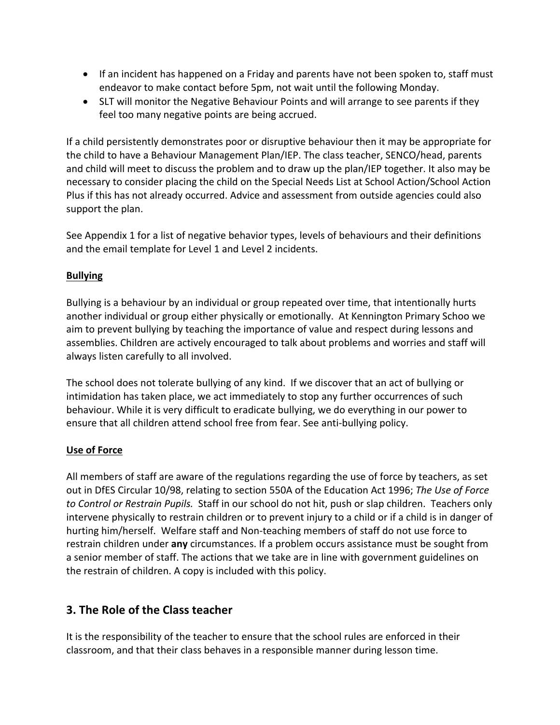- If an incident has happened on a Friday and parents have not been spoken to, staff must endeavor to make contact before 5pm, not wait until the following Monday.
- SLT will monitor the Negative Behaviour Points and will arrange to see parents if they feel too many negative points are being accrued.

If a child persistently demonstrates poor or disruptive behaviour then it may be appropriate for the child to have a Behaviour Management Plan/IEP. The class teacher, SENCO/head, parents and child will meet to discuss the problem and to draw up the plan/IEP together. It also may be necessary to consider placing the child on the Special Needs List at School Action/School Action Plus if this has not already occurred. Advice and assessment from outside agencies could also support the plan.

See Appendix 1 for a list of negative behavior types, levels of behaviours and their definitions and the email template for Level 1 and Level 2 incidents.

#### **Bullying**

Bullying is a behaviour by an individual or group repeated over time, that intentionally hurts another individual or group either physically or emotionally. At Kennington Primary Schoo we aim to prevent bullying by teaching the importance of value and respect during lessons and assemblies. Children are actively encouraged to talk about problems and worries and staff will always listen carefully to all involved.

The school does not tolerate bullying of any kind. If we discover that an act of bullying or intimidation has taken place, we act immediately to stop any further occurrences of such behaviour. While it is very difficult to eradicate bullying, we do everything in our power to ensure that all children attend school free from fear. See anti-bullying policy.

#### **Use of Force**

All members of staff are aware of the regulations regarding the use of force by teachers, as set out in DfES Circular 10/98, relating to section 550A of the Education Act 1996; *The Use of Force to Control or Restrain Pupils.* Staff in our school do not hit, push or slap children. Teachers only intervene physically to restrain children or to prevent injury to a child or if a child is in danger of hurting him/herself. Welfare staff and Non-teaching members of staff do not use force to restrain children under **any** circumstances. If a problem occurs assistance must be sought from a senior member of staff. The actions that we take are in line with government guidelines on the restrain of children. A copy is included with this policy.

#### **3. The Role of the Class teacher**

It is the responsibility of the teacher to ensure that the school rules are enforced in their classroom, and that their class behaves in a responsible manner during lesson time.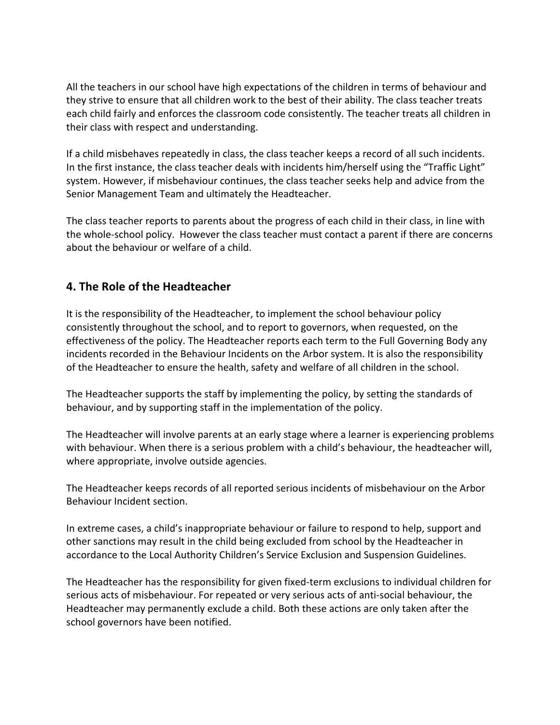All the teachers in our school have high expectations of the children in terms of behaviour and they strive to ensure that all children work to the best of their ability. The class teacher treats each child fairly and enforces the classroom code consistently. The teacher treats all children in their class with respect and understanding.

If a child misbehaves repeatedly in class, the class teacher keeps a record of all such incidents. In the first instance, the class teacher deals with incidents him/herself using the "Traffic Light" system. However, if misbehaviour continues, the class teacher seeks help and advice from the Senior Management Team and ultimately the Headteacher.

The class teacher reports to parents about the progress of each child in their class, in line with the whole-school policy. However the class teacher must contact a parent if there are concerns about the behaviour or welfare of a child.

#### **4. The Role of the Headteacher**

It is the responsibility of the Headteacher, to implement the school behaviour policy consistently throughout the school, and to report to governors, when requested, on the effectiveness of the policy. The Headteacher reports each term to the Full Governing Body any incidents recorded in the Behaviour Incidents on the Arbor system. It is also the responsibility of the Headteacher to ensure the health, safety and welfare of all children in the school.

The Headteacher supports the staff by implementing the policy, by setting the standards of behaviour, and by supporting staff in the implementation of the policy.

The Headteacher will involve parents at an early stage where a learner is experiencing problems with behaviour. When there is a serious problem with a child's behaviour, the headteacher will, where appropriate, involve outside agencies.

The Headteacher keeps records of all reported serious incidents of misbehaviour on the Arbor Behaviour Incident section.

In extreme cases, a child's inappropriate behaviour or failure to respond to help, support and other sanctions may result in the child being excluded from school by the Headteacher in accordance to the Local Authority Children's Service Exclusion and Suspension Guidelines.

The Headteacher has the responsibility for given fixed-term exclusions to individual children for serious acts of misbehaviour. For repeated or very serious acts of anti-social behaviour, the Headteacher may permanently exclude a child. Both these actions are only taken after the school governors have been notified.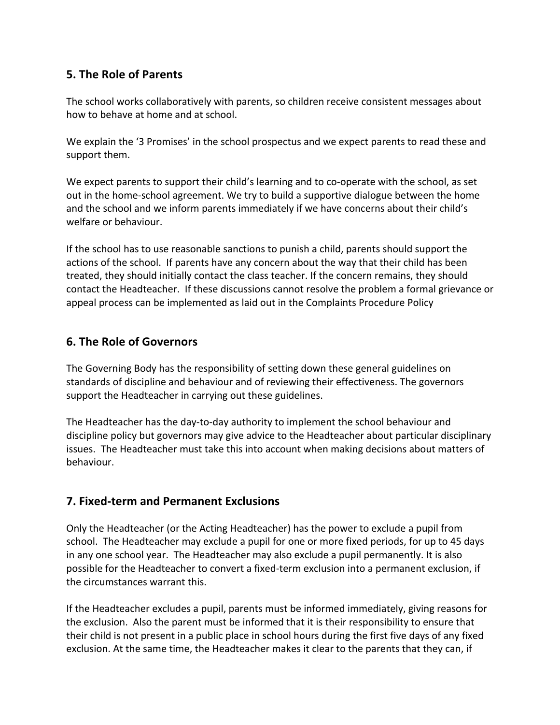#### **5. The Role of Parents**

The school works collaboratively with parents, so children receive consistent messages about how to behave at home and at school.

We explain the '3 Promises' in the school prospectus and we expect parents to read these and support them.

We expect parents to support their child's learning and to co-operate with the school, as set out in the home-school agreement. We try to build a supportive dialogue between the home and the school and we inform parents immediately if we have concerns about their child's welfare or behaviour.

If the school has to use reasonable sanctions to punish a child, parents should support the actions of the school. If parents have any concern about the way that their child has been treated, they should initially contact the class teacher. If the concern remains, they should contact the Headteacher. If these discussions cannot resolve the problem a formal grievance or appeal process can be implemented as laid out in the Complaints Procedure Policy

#### **6. The Role of Governors**

The Governing Body has the responsibility of setting down these general guidelines on standards of discipline and behaviour and of reviewing their effectiveness. The governors support the Headteacher in carrying out these guidelines.

The Headteacher has the day-to-day authority to implement the school behaviour and discipline policy but governors may give advice to the Headteacher about particular disciplinary issues. The Headteacher must take this into account when making decisions about matters of behaviour.

#### **7. Fixed-term and Permanent Exclusions**

Only the Headteacher (or the Acting Headteacher) has the power to exclude a pupil from school. The Headteacher may exclude a pupil for one or more fixed periods, for up to 45 days in any one school year. The Headteacher may also exclude a pupil permanently. It is also possible for the Headteacher to convert a fixed-term exclusion into a permanent exclusion, if the circumstances warrant this.

If the Headteacher excludes a pupil, parents must be informed immediately, giving reasons for the exclusion. Also the parent must be informed that it is their responsibility to ensure that their child is not present in a public place in school hours during the first five days of any fixed exclusion. At the same time, the Headteacher makes it clear to the parents that they can, if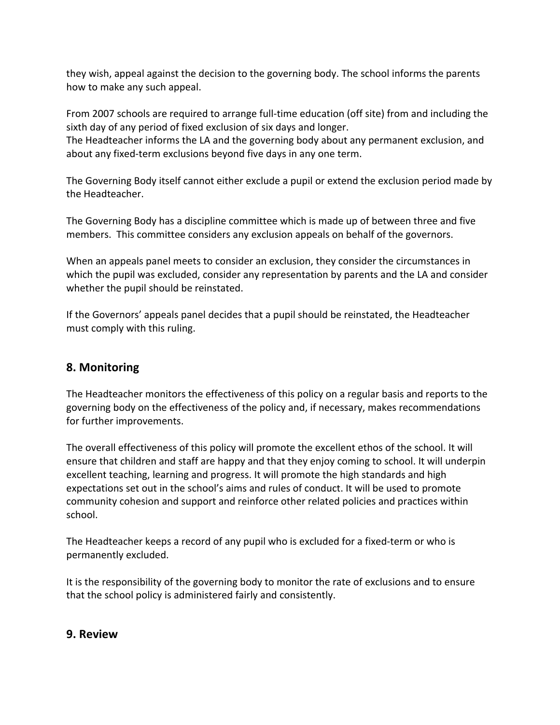they wish, appeal against the decision to the governing body. The school informs the parents how to make any such appeal.

From 2007 schools are required to arrange full-time education (off site) from and including the sixth day of any period of fixed exclusion of six days and longer.

The Headteacher informs the LA and the governing body about any permanent exclusion, and about any fixed-term exclusions beyond five days in any one term.

The Governing Body itself cannot either exclude a pupil or extend the exclusion period made by the Headteacher.

The Governing Body has a discipline committee which is made up of between three and five members. This committee considers any exclusion appeals on behalf of the governors.

When an appeals panel meets to consider an exclusion, they consider the circumstances in which the pupil was excluded, consider any representation by parents and the LA and consider whether the pupil should be reinstated.

If the Governors' appeals panel decides that a pupil should be reinstated, the Headteacher must comply with this ruling.

#### **8. Monitoring**

The Headteacher monitors the effectiveness of this policy on a regular basis and reports to the governing body on the effectiveness of the policy and, if necessary, makes recommendations for further improvements.

The overall effectiveness of this policy will promote the excellent ethos of the school. It will ensure that children and staff are happy and that they enjoy coming to school. It will underpin excellent teaching, learning and progress. It will promote the high standards and high expectations set out in the school's aims and rules of conduct. It will be used to promote community cohesion and support and reinforce other related policies and practices within school.

The Headteacher keeps a record of any pupil who is excluded for a fixed-term or who is permanently excluded.

It is the responsibility of the governing body to monitor the rate of exclusions and to ensure that the school policy is administered fairly and consistently.

#### **9. Review**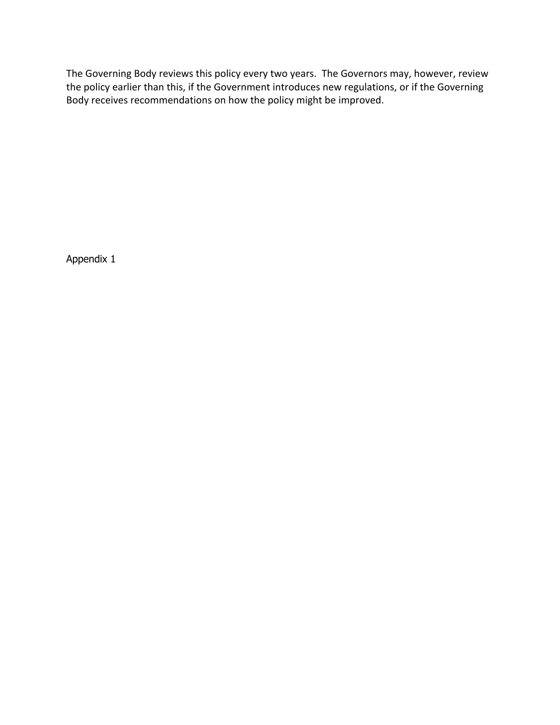The Governing Body reviews this policy every two years. The Governors may, however, review the policy earlier than this, if the Government introduces new regulations, or if the Governing Body receives recommendations on how the policy might be improved.

Appendix 1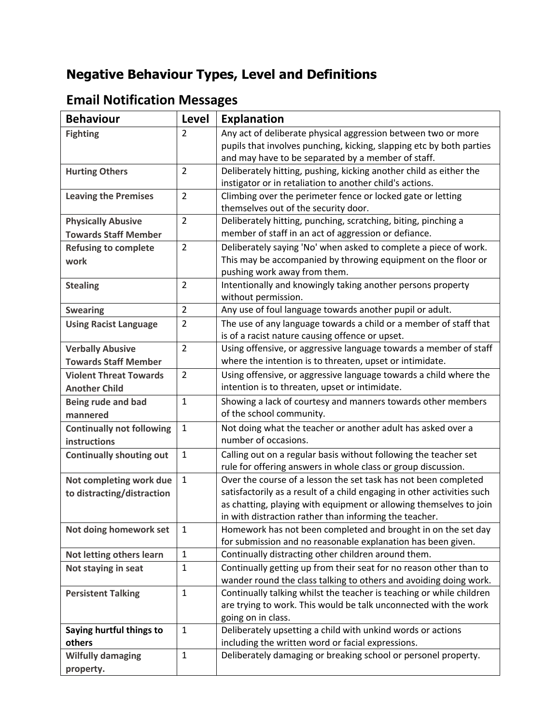# **Negative Behaviour Types, Level and Definitions**

# **Email Notification Messages**

| <b>Behaviour</b>                   | Level          | <b>Explanation</b>                                                                                               |
|------------------------------------|----------------|------------------------------------------------------------------------------------------------------------------|
| <b>Fighting</b>                    | $\overline{2}$ | Any act of deliberate physical aggression between two or more                                                    |
|                                    |                | pupils that involves punching, kicking, slapping etc by both parties                                             |
|                                    |                | and may have to be separated by a member of staff.                                                               |
| <b>Hurting Others</b>              | $\overline{2}$ | Deliberately hitting, pushing, kicking another child as either the                                               |
|                                    |                | instigator or in retaliation to another child's actions.                                                         |
| <b>Leaving the Premises</b>        | $\overline{2}$ | Climbing over the perimeter fence or locked gate or letting                                                      |
|                                    |                | themselves out of the security door.                                                                             |
| <b>Physically Abusive</b>          | $\overline{2}$ | Deliberately hitting, punching, scratching, biting, pinching a                                                   |
| <b>Towards Staff Member</b>        |                | member of staff in an act of aggression or defiance.                                                             |
| <b>Refusing to complete</b>        | $\overline{2}$ | Deliberately saying 'No' when asked to complete a piece of work.                                                 |
| work                               |                | This may be accompanied by throwing equipment on the floor or                                                    |
|                                    |                | pushing work away from them.                                                                                     |
| <b>Stealing</b>                    | $\overline{2}$ | Intentionally and knowingly taking another persons property                                                      |
|                                    |                | without permission.                                                                                              |
| <b>Swearing</b>                    | $\overline{2}$ | Any use of foul language towards another pupil or adult.                                                         |
| <b>Using Racist Language</b>       | $\overline{2}$ | The use of any language towards a child or a member of staff that                                                |
|                                    |                | is of a racist nature causing offence or upset.                                                                  |
| <b>Verbally Abusive</b>            | $\overline{2}$ | Using offensive, or aggressive language towards a member of staff                                                |
| <b>Towards Staff Member</b>        |                | where the intention is to threaten, upset or intimidate.                                                         |
| <b>Violent Threat Towards</b>      | $\overline{2}$ | Using offensive, or aggressive language towards a child where the                                                |
| <b>Another Child</b>               |                | intention is to threaten, upset or intimidate.                                                                   |
| Being rude and bad                 | $\mathbf{1}$   | Showing a lack of courtesy and manners towards other members                                                     |
| mannered                           |                | of the school community.                                                                                         |
| <b>Continually not following</b>   | $\mathbf{1}$   | Not doing what the teacher or another adult has asked over a                                                     |
| instructions                       |                | number of occasions.                                                                                             |
| <b>Continually shouting out</b>    | $\mathbf{1}$   | Calling out on a regular basis without following the teacher set                                                 |
|                                    |                | rule for offering answers in whole class or group discussion.                                                    |
| Not completing work due            | $\mathbf{1}$   | Over the course of a lesson the set task has not been completed                                                  |
| to distracting/distraction         |                | satisfactorily as a result of a child engaging in other activities such                                          |
|                                    |                | as chatting, playing with equipment or allowing themselves to join                                               |
|                                    |                | in with distraction rather than informing the teacher.                                                           |
| Not doing homework set             | $\mathbf{1}$   | Homework has not been completed and brought in on the set day                                                    |
|                                    |                | for submission and no reasonable explanation has been given.                                                     |
| Not letting others learn           | $\mathbf{1}$   | Continually distracting other children around them.                                                              |
| Not staying in seat                | $\mathbf{1}$   | Continually getting up from their seat for no reason other than to                                               |
|                                    |                | wander round the class talking to others and avoiding doing work.                                                |
| <b>Persistent Talking</b>          | $\mathbf{1}$   | Continually talking whilst the teacher is teaching or while children                                             |
|                                    |                | are trying to work. This would be talk unconnected with the work                                                 |
|                                    | $\mathbf{1}$   | going on in class.                                                                                               |
| Saying hurtful things to<br>others |                | Deliberately upsetting a child with unkind words or actions<br>including the written word or facial expressions. |
|                                    | $\mathbf{1}$   | Deliberately damaging or breaking school or personel property.                                                   |
| <b>Wilfully damaging</b>           |                |                                                                                                                  |
| property.                          |                |                                                                                                                  |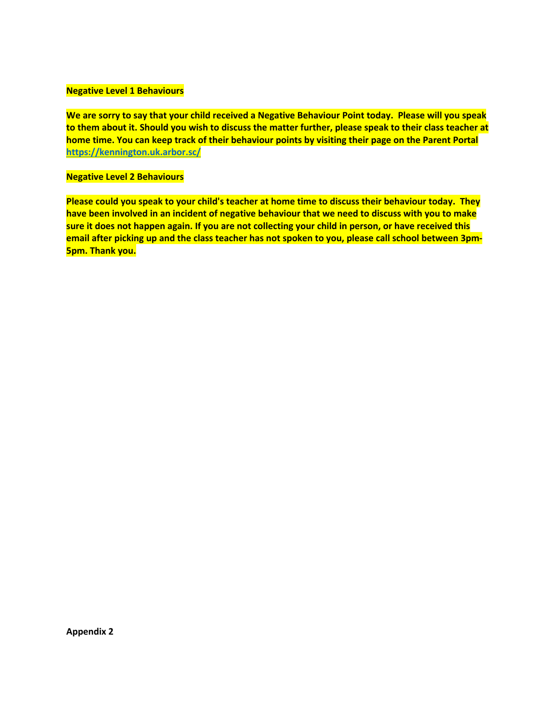#### **Negative Level 1 Behaviours**

**We are sorry to say that your child received a Negative Behaviour Point today. Please will you speak to them about it. Should you wish to discuss the matter further, please speak to their class teacher at home time. You can keep track of their behaviour points by visiting their page on the Parent Portal https://kennington.uk.arbor.sc/**

#### **Negative Level 2 Behaviours**

**Please could you speak to your child's teacher at home time to discuss their behaviour today. They have been involved in an incident of negative behaviour that we need to discuss with you to make sure it does not happen again. If you are not collecting your child in person, or have received this email after picking up and the class teacher has not spoken to you, please call school between 3pm-5pm. Thank you.**